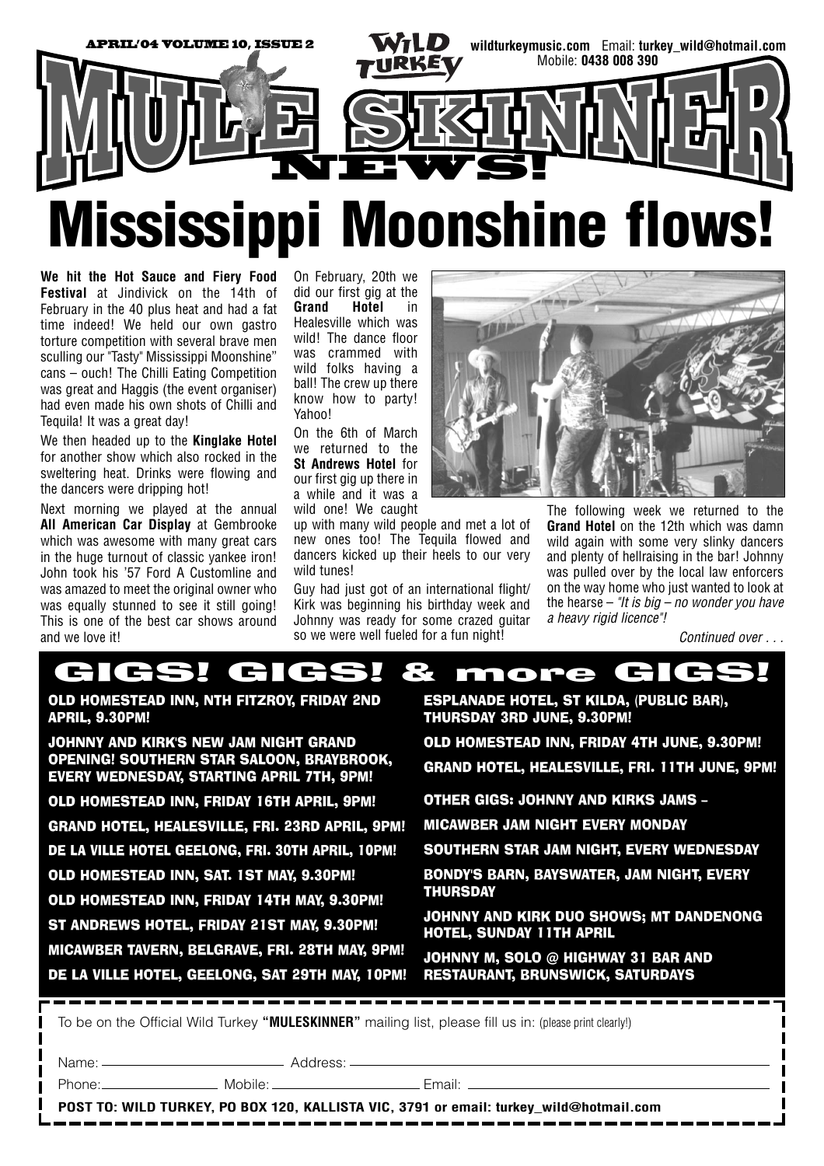

**We hit the Hot Sauce and Fiery Food Festival** at Jindivick on the 14th of February in the 40 plus heat and had a fat time indeed! We held our own gastro torture competition with several brave men sculling our "Tasty" Mississippi Moonshine" cans – ouch! The Chilli Eating Competition was great and Haggis (the event organiser) had even made his own shots of Chilli and Tequila! It was a great day!

We then headed up to the **Kinglake Hotel** for another show which also rocked in the sweltering heat. Drinks were flowing and the dancers were dripping hot!

Next morning we played at the annual **All American Car Display** at Gembrooke which was awesome with many great cars in the huge turnout of classic yankee iron! John took his '57 Ford A Customline and was amazed to meet the original owner who was equally stunned to see it still going! This is one of the best car shows around and we love it!

On February, 20th we did our first gig at the **Grand Hotel** in Healesville which was wild! The dance floor was crammed with wild folks having a ball! The crew up there know how to party! Yahoo!

On the 6th of March we returned to the **St Andrews Hotel** for our first gig up there in a while and it was a wild one! We caught

up with many wild people and met a lot of new ones too! The Tequila flowed and dancers kicked up their heels to our very wild tunes!

Guy had just got of an international flight/ Kirk was beginning his birthday week and Johnny was ready for some crazed guitar so we were well fueled for a fun night!



The following week we returned to the **Grand Hotel** on the 12th which was damn wild again with some very slinky dancers and plenty of hellraising in the bar! Johnny was pulled over by the local law enforcers on the way home who just wanted to look at the hearse – *"It is big – no wonder you have a heavy rigid licence"!*

*Continued over . . .*

## GIGS! GIGS! & more GIGS!

OLD HOMESTEAD INN, NTH FITZROY, FRIDAY 2ND APRIL, 9.30PM!

JOHNNY AND KIRK'S NEW JAM NIGHT GRAND OPENING! SOUTHERN STAR SALOON, BRAYBROOK, EVERY WEDNESDAY, STARTING APRIL 7TH, 9PM! OLD HOMESTEAD INN, FRIDAY 16TH APRIL, 9PM! GRAND HOTEL, HEALESVILLE, FRI. 23RD APRIL, 9PM! DE LA VILLE HOTEL GEELONG, FRI. 30TH APRIL, 10PM! OLD HOMESTEAD INN, SAT. 1ST MAY, 9.30PM! OLD HOMESTEAD INN, FRIDAY 14TH MAY, 9.30PM! ST ANDREWS HOTEL, FRIDAY 21ST MAY, 9.30PM! MICAWBER TAVERN, BELGRAVE, FRI. 28TH MAY, 9PM! DE LA VILLE HOTEL, GEELONG, SAT 29TH MAY, 10PM!

ESPLANADE HOTEL, ST KILDA, (PUBLIC BAR), THURSDAY 3RD JUNE, 9.30PM!

OLD HOMESTEAD INN, FRIDAY 4TH JUNE, 9.30PM! GRAND HOTEL, HEALESVILLE, FRI. 11TH JUNE, 9PM!

OTHER GIGS: JOHNNY AND KIRKS JAMS –

MICAWBER JAM NIGHT EVERY MONDAY

SOUTHERN STAR JAM NIGHT, EVERY WEDNESDAY

BONDY'S BARN, BAYSWATER, JAM NIGHT, EVERY THURSDAY

JOHNNY AND KIRK DUO SHOWS; MT DANDENONG HOTEL, SUNDAY 11TH APRIL

JOHNNY M, SOLO @ HIGHWAY 31 BAR AND RESTAURANT, BRUNSWICK, SATURDAYS

To be on the Official Wild Turkey **"MULESKINNER"** mailing list, please fill us in: (please print clearly!)

Name: Address:

Phone: Mobile: Email:

**POST TO: WILD TURKEY, PO BOX 120, KALLISTA VIC, 3791 or email: turkey\_wild@hotmail.com**